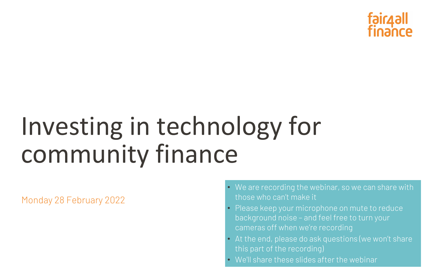# Investing in technology for community finance

Monday 28 February 2022

• We are recording the webinar, so we can share with

• Please keep your microphone on mute to reduce

- those who can't make it
- background noise and feel free to turn your cameras off when we're recording
- this part of the recording)
- We'll share these slides after the webinar



• At the end, please do ask questions (we won't share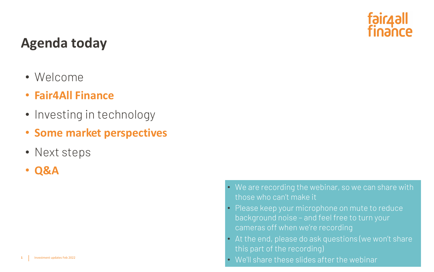## **Agenda today**

- Welcome
- **Fair4All Finance**
- Investing in technology
- **Some market perspectives**
- Next steps
- **Q&A**

• We are recording the webinar, so we can share with

• Please keep your microphone on mute to reduce

• At the end, please do ask questions (we won't share

- those who can't make it
- background noise and feel free to turn your cameras off when we're recording
- this part of the recording)
- We'll share these slides after the webinar

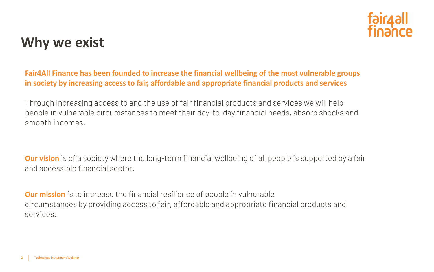## **Why we exist**

**Fair4All Finance has been founded to increase the financial wellbeing of the most vulnerable groups in society by increasing access to fair, affordable and appropriate financial products and services**

Through increasing access to and the use of fair financial products and services we will help people in vulnerable circumstances to meet their day-to-day financial needs, absorb shocks and smooth incomes.

**Our vision** is of a society where the long-term financial wellbeing of all people is supported by a fair and accessible financial sector.

**Our mission** is to increase the financial resilience of people in vulnerable circumstances by providing access to fair, affordable and appropriate financial products and services.

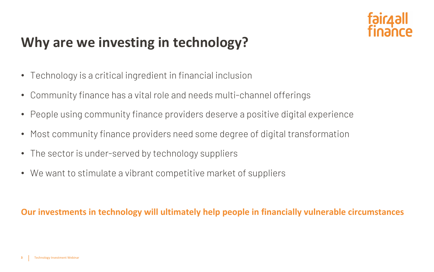## **Why are we investing in technology?**

- Technology is a critical ingredient in financial inclusion
- Community finance has a vital role and needs multi-channel offerings
- People using community finance providers deserve a positive digital experience
- Most community finance providers need some degree of digital transformation
- The sector is under-served by technology suppliers
- We want to stimulate a vibrant competitive market of suppliers

### **Our investments in technology will ultimately help people in financially vulnerable circumstances**

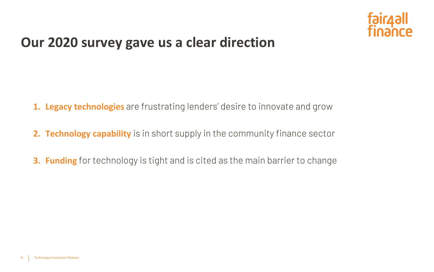## **Our 2020 survey gave us a clear direction**

- **1. Legacy technologies** are frustrating lenders' desire to innovate and grow
- **2. Technology capability** is in short supply in the community finance sector
- **3. Funding** for technology is tight and is cited as the main barrier to change

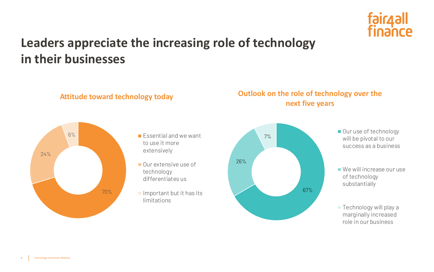## **Leaders appreciate the increasing role of technology in their businesses**

T% Server the Cour use of technology<br>
T% Server the During Server that the our server of the Court of the Court of the Court of the Court of the Court of the Court of the Court of the Court of the Court of the Court of th will be pivotal to our success as a business

> ■ We will increase our use of technology substantially

**Technology will play a** marginally increased role in our business







### **Outlook on the role of technology over the next five years**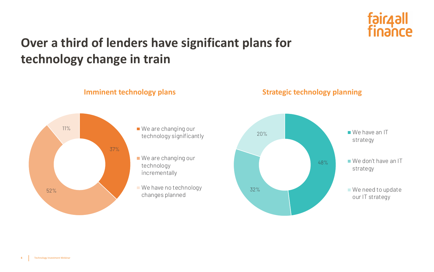





- 20% We have an IT strategy
	- We don't have an IT strategy
	- We need to update our IT strategy

## **Over a third of lenders have significant plans for technology change in train**

### **Imminent technology plans Strategic technology planning**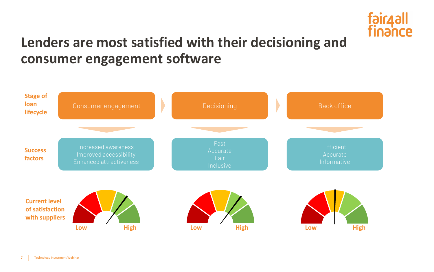## **Lenders are most satisfied with their decisioning and consumer engagement software**



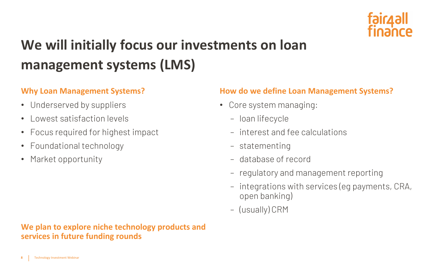## **We will initially focus our investments on loan management systems (LMS)**

### **Why Loan Management Systems?**

- Underserved by suppliers
- Lowest satisfaction levels
- Focus required for highest impact
- Foundational technology
- Market opportunity

### **We plan to explore niche technology products and services in future funding rounds**



### **How do we define Loan Management Systems?**

- Core system managing:
	- loan lifecycle
	- interest and fee calculations
	- statementing
	- database of record
	-
	- regulatory and management reporting – integrations with services (eg payments, CRA, open banking)
	- (usually) CRM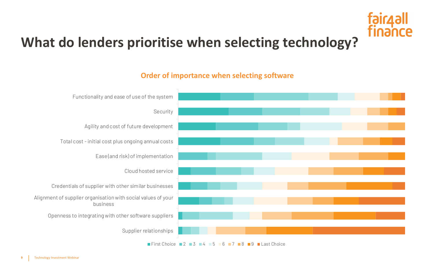## **What do lenders prioritise when selecting technology?**



### **Order of importance when selecting software**

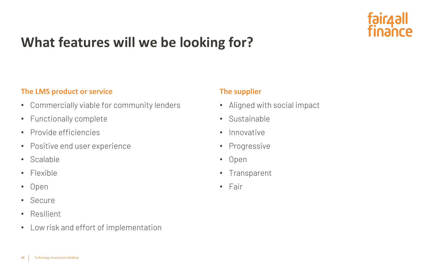## **What features will we be looking for?**

### **The LMS product or service**

- Commercially viable for community lenders
- Functionally complete
- Provide efficiencies
- Positive end user experience
- Scalable
- Flexible
- Open
- Secure
- Resilient
- Low risk and effort of implementation

### **The supplier**

- Aligned with social impact
- Sustainable
- Innovative
- Progressive
- Open
- Transparent
- Fair

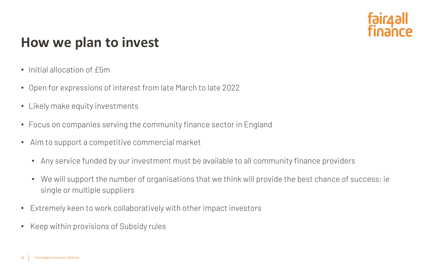## **How we plan to invest**

- Initial allocation of £5m
- Open for expressions of interest from late March to late 2022
- Likely make equity investments
- Focus on companies serving the community finance sector in England
- Aim to support a competitive commercial market
	- Any service funded by our investment must be available to all community finance providers
	- We will support the number of organisations that we think will provide the best chance of success; ie single or multiple suppliers
- Extremely keen to work collaboratively with other impact investors
- Keep within provisions of Subsidy rules

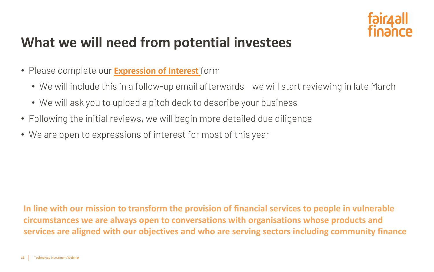## **What we will need from potential investees**

- Please complete our **[Expression of Interest](https://forms.office.com/pages/responsepage.aspx?id=Yj4ArWenl0SR14VlCfZkhP26eMGlfUJNjS1oNPPu7q9UQlRLMklKWVg2NUM1M01YQ00wVVYxODVBVyQlQCN0PWcu)** form
	- We will include this in a follow-up email afterwards we will start reviewing in late March
	- We will ask you to upload a pitch deck to describe your business
- Following the initial reviews, we will begin more detailed due diligence
- We are open to expressions of interest for most of this year

**In line with our mission to transform the provision of financial services to people in vulnerable circumstances we are always open to conversations with organisations whose products and services are aligned with our objectives and who are serving sectors including community finance**